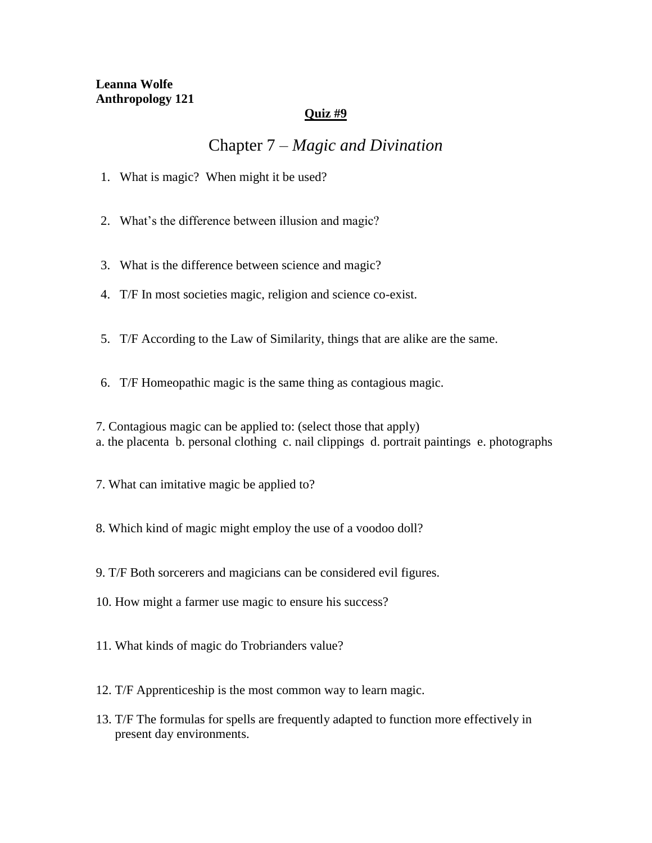## **Quiz #9**

## Chapter 7 – *Magic and Divination*

- 1. What is magic? When might it be used?
- 2. What's the difference between illusion and magic?
- 3. What is the difference between science and magic?
- 4. T/F In most societies magic, religion and science co-exist.
- 5. T/F According to the Law of Similarity, things that are alike are the same.
- 6. T/F Homeopathic magic is the same thing as contagious magic.

7. Contagious magic can be applied to: (select those that apply) a. the placenta b. personal clothing c. nail clippings d. portrait paintings e. photographs

- 7. What can imitative magic be applied to?
- 8. Which kind of magic might employ the use of a voodoo doll?
- 9. T/F Both sorcerers and magicians can be considered evil figures.
- 10. How might a farmer use magic to ensure his success?
- 11. What kinds of magic do Trobrianders value?
- 12. T/F Apprenticeship is the most common way to learn magic.
- 13. T/F The formulas for spells are frequently adapted to function more effectively in present day environments.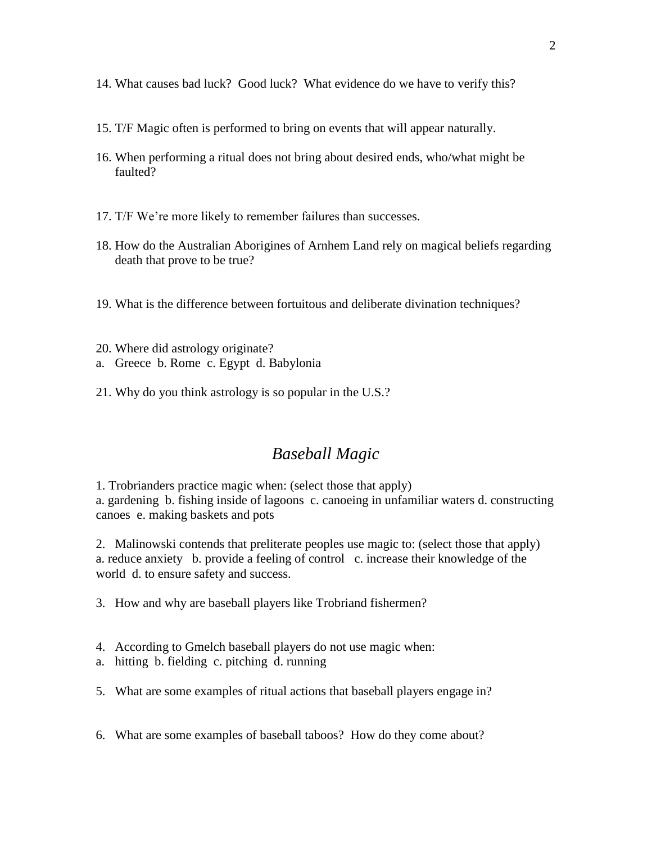- 14. What causes bad luck? Good luck? What evidence do we have to verify this?
- 15. T/F Magic often is performed to bring on events that will appear naturally.
- 16. When performing a ritual does not bring about desired ends, who/what might be faulted?
- 17. T/F We're more likely to remember failures than successes.
- 18. How do the Australian Aborigines of Arnhem Land rely on magical beliefs regarding death that prove to be true?
- 19. What is the difference between fortuitous and deliberate divination techniques?
- 20. Where did astrology originate?
- a. Greece b. Rome c. Egypt d. Babylonia
- 21. Why do you think astrology is so popular in the U.S.?

## *Baseball Magic*

1. Trobrianders practice magic when: (select those that apply) a. gardening b. fishing inside of lagoons c. canoeing in unfamiliar waters d. constructing canoes e. making baskets and pots

2. Malinowski contends that preliterate peoples use magic to: (select those that apply) a. reduce anxiety b. provide a feeling of control c. increase their knowledge of the world d. to ensure safety and success.

- 3. How and why are baseball players like Trobriand fishermen?
- 4. According to Gmelch baseball players do not use magic when:
- a. hitting b. fielding c. pitching d. running
- 5. What are some examples of ritual actions that baseball players engage in?
- 6. What are some examples of baseball taboos? How do they come about?